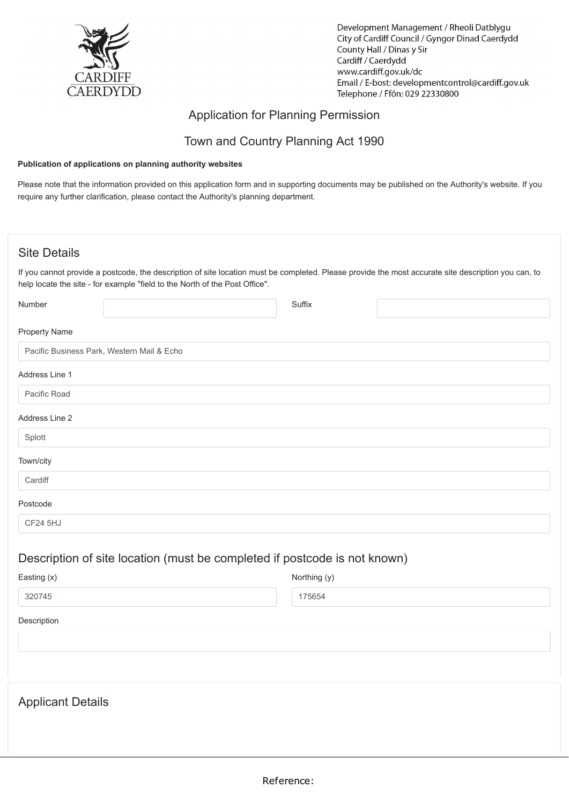

Development Management / Rheoli Datblygu City of Cardiff Council / Gyngor Dinad Caerdydd County Hall / Dinas y Sir Cardiff / Caerdydd www.cardiff.gov.uk/dc Email / E-bost: developmentcontrol@cardiff.gov.uk Telephone / Ffôn: 029 22330800

### Application for Planning Permission

### Town and Country Planning Act 1990

#### **Publication of applications on planning authority websites**

Please note that the information provided on this application form and in supporting documents may be published on the Authority's website. If you require any further clarification, please contact the Authority's planning department.

### Site Details

Applicant Details

If you cannot provide a postcode, the description of site location must be completed. Please provide the most accurate site description you can, to help locate the site - for example "field to the North of the Post Office".

| Number               |                                                                           | Suffix       |  |
|----------------------|---------------------------------------------------------------------------|--------------|--|
| <b>Property Name</b> |                                                                           |              |  |
|                      | Pacific Business Park, Western Mail & Echo                                |              |  |
| Address Line 1       |                                                                           |              |  |
| Pacific Road         |                                                                           |              |  |
| Address Line 2       |                                                                           |              |  |
| Splott               |                                                                           |              |  |
| Town/city            |                                                                           |              |  |
| Cardiff              |                                                                           |              |  |
| Postcode             |                                                                           |              |  |
| CF24 5HJ             |                                                                           |              |  |
|                      | Description of site location (must be completed if postcode is not known) |              |  |
| Easting (x)          |                                                                           | Northing (y) |  |
| 320745               |                                                                           | 175654       |  |
| Description          |                                                                           |              |  |
|                      |                                                                           |              |  |
|                      |                                                                           |              |  |
|                      |                                                                           |              |  |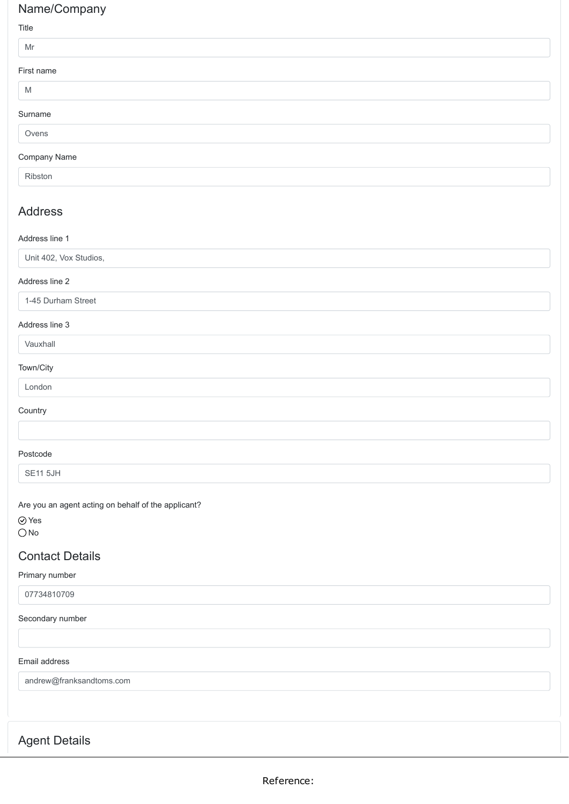### Name/Company

#### Title

| $\cdots$   |  |  |
|------------|--|--|
| Mr         |  |  |
| First name |  |  |
| M          |  |  |
| Surname    |  |  |
| Ovens      |  |  |
|            |  |  |

#### Company Name

Ribston

### Address

#### Address line 1

Unit 402, Vox Studios,

#### Address line 2

1-45 Durham Street

#### Address line 3

### Vauxhall

#### Town/City

London

#### **Country**

Postcode

SE11 5JH

Are you an agent acting on behalf of the applicant?

Yes  $O$  No

### Contact Details

#### Primary number

07734810709

#### Secondary number

#### Email address

andrew@franksandtoms.com

### Agent Details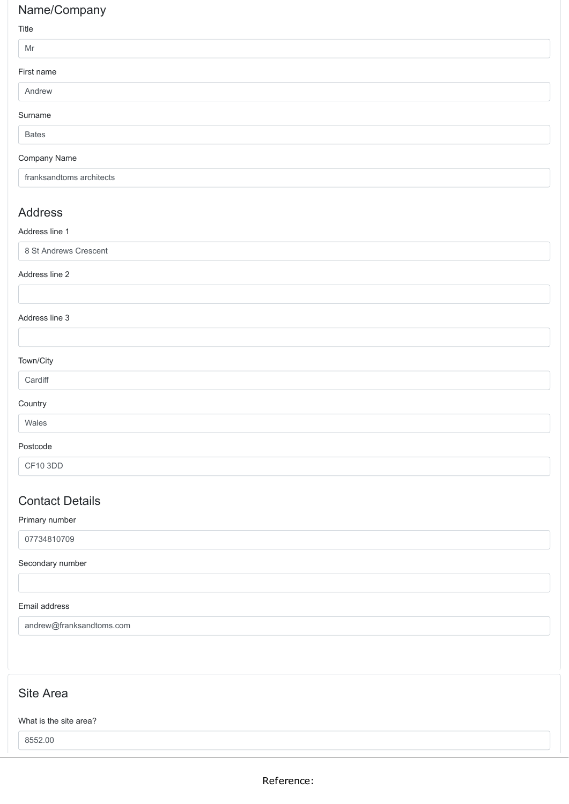## Name/Company

#### Title

| Mr           |  |  |
|--------------|--|--|
| First name   |  |  |
| Andrew       |  |  |
| Surname      |  |  |
| <b>Bates</b> |  |  |
| Company Name |  |  |

franksandtoms architects

### Address

#### Address line 1

8 St Andrews Crescent

#### Address line 2

#### Address line 3

| Town/City |
|-----------|
|-----------|

| ×<br><br>×<br>v<br>× |  |
|----------------------|--|

#### **Country**

Wales

#### Postcode

CF10 3DD

### Contact Details

#### Primary number

07734810709

### Secondary number

### Email address

andrew@franksandtoms.com

### Site Area

### What is the site area?

8552.00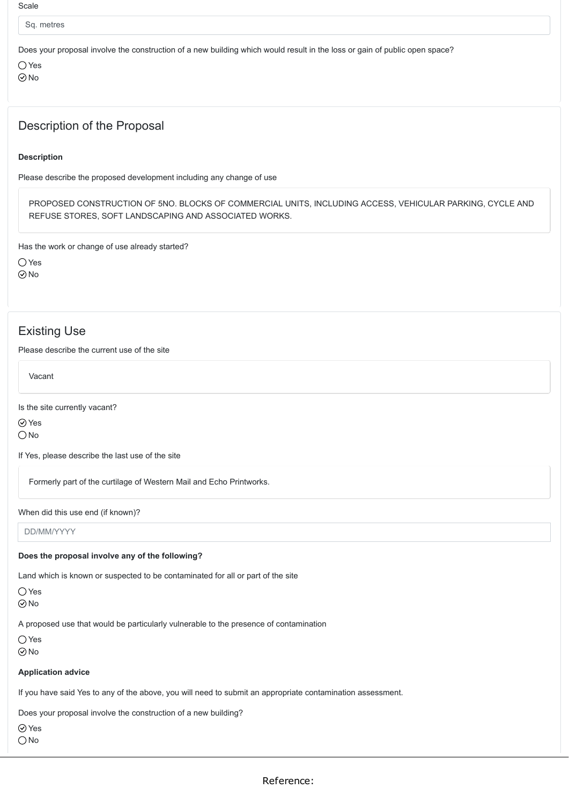#### **Scale**

Sq. metres

Does your proposal involve the construction of a new building which would result in the loss or gain of public open space?

 $\bigcap$  Yes No

### Description of the Proposal

#### **Description**

Please describe the proposed development including any change of use

PROPOSED CONSTRUCTION OF 5NO. BLOCKS OF COMMERCIAL UNITS, INCLUDING ACCESS, VEHICULAR PARKING, CYCLE AND REFUSE STORES, SOFT LANDSCAPING AND ASSOCIATED WORKS.

Has the work or change of use already started?

○ Yes No

### Existing Use

Please describe the current use of the site

Vacant

Is the site currently vacant?

Yes

 $\bigcirc$  No

If Yes, please describe the last use of the site

Formerly part of the curtilage of Western Mail and Echo Printworks.

When did this use end (if known)?

DD/MM/YYYY

#### **Does the proposal involve any of the following?**

Land which is known or suspected to be contaminated for all or part of the site

 $\bigcap$  Yes

 $\odot$ No

A proposed use that would be particularly vulnerable to the presence of contamination

Yes

 $\odot$ No

#### **Application advice**

If you have said Yes to any of the above, you will need to submit an appropriate contamination assessment.

Does your proposal involve the construction of a new building?

⊙ Yes

O<sub>No</sub>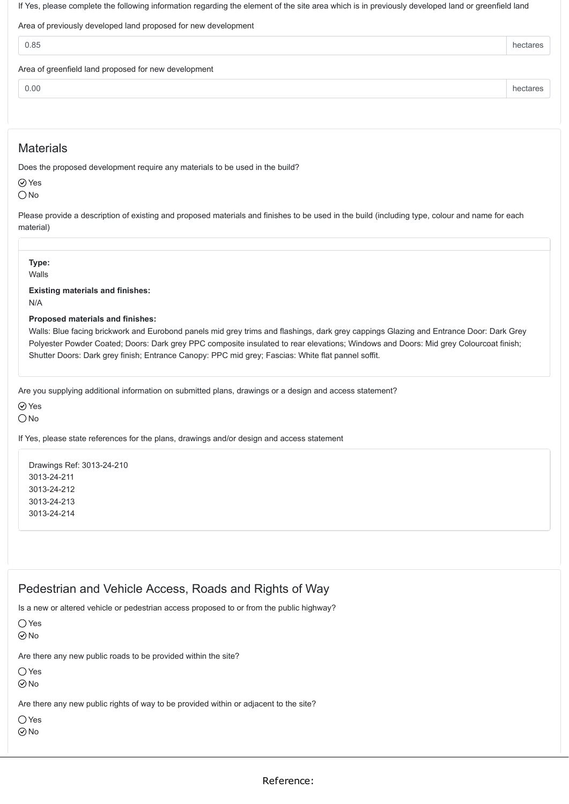If Yes, please complete the following information regarding the element of the site area which is in previously developed land or greenfield land

Area of previously developed land proposed for new development

| 0.85                                                 |  |
|------------------------------------------------------|--|
| Area of greenfield land proposed for new development |  |

0.00 hectares **hectares** 

### **Materials**

Does the proposed development require any materials to be used in the build?

**⊘**Yes  $\bigcirc$  No

Please provide a description of existing and proposed materials and finishes to be used in the build (including type, colour and name for each material)

**Type:**

Walls

**Existing materials and finishes:** N/A

**Proposed materials and finishes:**

Walls: Blue facing brickwork and Eurobond panels mid grey trims and flashings, dark grey cappings Glazing and Entrance Door: Dark Grey Polyester Powder Coated; Doors: Dark grey PPC composite insulated to rear elevations; Windows and Doors: Mid grey Colourcoat finish; Shutter Doors: Dark grey finish; Entrance Canopy: PPC mid grey; Fascias: White flat pannel soffit.

Are you supplying additional information on submitted plans, drawings or a design and access statement?

**⊘**Yes

 $\bigcap$ No

If Yes, please state references for the plans, drawings and/or design and access statement

Drawings Ref: 3013-24-210 3013-24-211 3013-24-212 3013-24-213 3013-24-214

### Pedestrian and Vehicle Access, Roads and Rights of Way

Is a new or altered vehicle or pedestrian access proposed to or from the public highway?

 $\bigcap$  Yes  $\odot$  No

Are there any new public roads to be provided within the site?

○ Yes

 $\odot$ No

Are there any new public rights of way to be provided within or adjacent to the site?

 $\bigcirc$  Yes

 $\odot$ No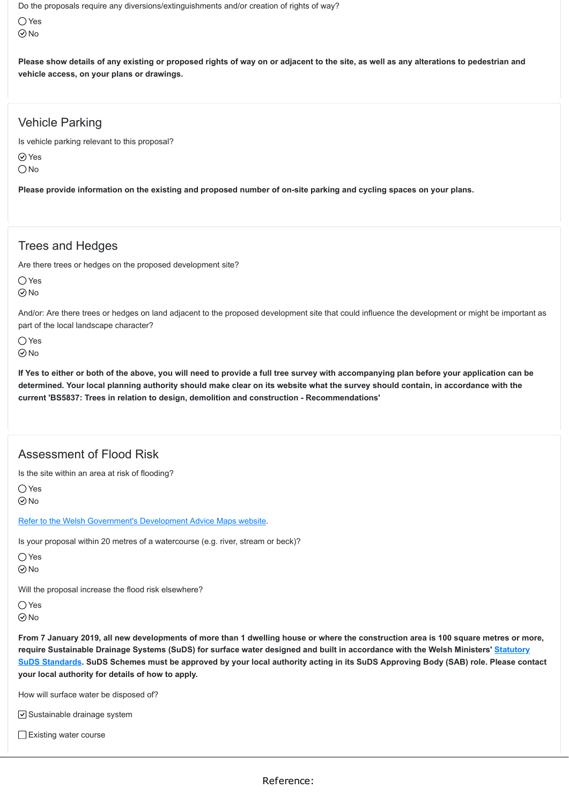Do the proposals require any diversions/extinguishments and/or creation of rights of way?

Yes  $\odot$ No

**Please show details of any existing or proposed rights of way on or adjacent to the site, as well as any alterations to pedestrian and vehicle access, on your plans or drawings.**

### Vehicle Parking

Is vehicle parking relevant to this proposal?

⊙ Yes

 $\bigcap$ No

**Please provide information on the existing and proposed number of on-site parking and cycling spaces on your plans.**

### Trees and Hedges

Are there trees or hedges on the proposed development site?

 $\bigcap$  Yes  $\odot$  No

And/or: Are there trees or hedges on land adjacent to the proposed development site that could influence the development or might be important as part of the local landscape character?

 $\bigcap$  Yes  $\odot$ No

**If Yes to either or both of the above, you will need to provide a full tree survey with accompanying plan before your application can be determined. Your local planning authority should make clear on its website what the survey should contain, in accordance with the current 'BS5837: Trees in relation to design, demolition and construction - Recommendations'**

### Assessment of Flood Risk

Is the site within an area at risk of flooding?

 $\bigcap$  Yes  $\odot$  No

[Refer to the Welsh Government's Development Advice Maps website](https://naturalresources.wales/floodriskmap?lang=en).

Is your proposal within 20 metres of a watercourse (e.g. river, stream or beck)?

 $\bigcirc$  Yes

 $\odot$ No

Will the proposal increase the flood risk elsewhere?

 $\bigcap$  Yes

 $\odot$  No

**From 7 January 2019, all new developments of more than 1 dwelling house or where the construction area is 100 square metres or more, require Sustainable Drainage Systems (SuDS) for surface water designed and built in accordance with the Welsh Ministers' Statutory [SuDS Standards. SuDS Schemes must be approved by your local authority acting in its SuDS Approving Body \(SAB\) role. Please con](https://gov.wales/topics/environmentcountryside/epq/flooding/drainage/?lang=en)tact your local authority for details of how to apply.**

How will surface water be disposed of?

 $\vee$  Sustainable drainage system

Existing water course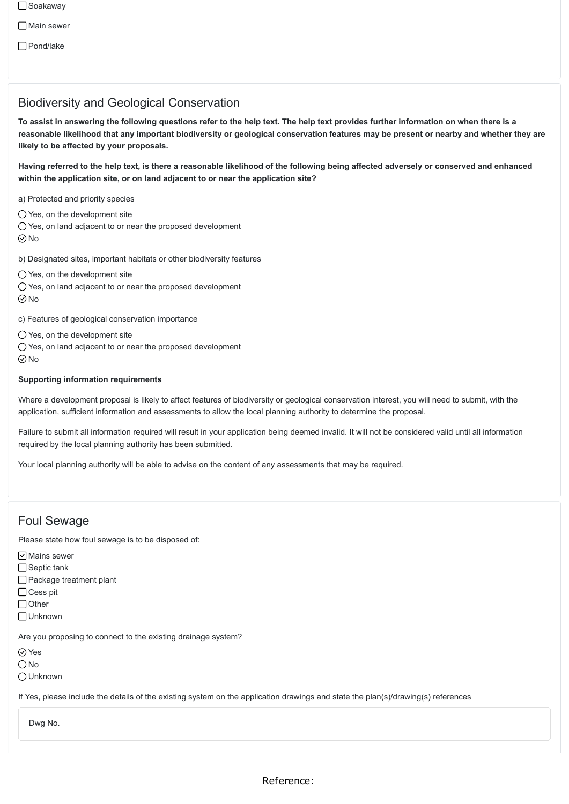□ Soakaway

□ Main sewer

Pond/lake

### Biodiversity and Geological Conservation

**To assist in answering the following questions refer to the help text. The help text provides further information on when there is a reasonable likelihood that any important biodiversity or geological conservation features may be present or nearby and whether they are likely to be affected by your proposals.**

**Having referred to the help text, is there a reasonable likelihood of the following being affected adversely or conserved and enhanced within the application site, or on land adjacent to or near the application site?**

a) Protected and priority species

- $\bigcirc$  Yes, on the development site
- Yes, on land adjacent to or near the proposed development
- $\odot$ No

b) Designated sites, important habitats or other biodiversity features

 $\bigcirc$  Yes, on the development site

- O Yes, on land adjacent to or near the proposed development
- $\odot$ No

c) Features of geological conservation importance

Yes, on the development site

Yes, on land adjacent to or near the proposed development  $\odot$ No

#### **Supporting information requirements**

Where a development proposal is likely to affect features of biodiversity or geological conservation interest, you will need to submit, with the application, sufficient information and assessments to allow the local planning authority to determine the proposal.

Failure to submit all information required will result in your application being deemed invalid. It will not be considered valid until all information required by the local planning authority has been submitted.

Your local planning authority will be able to advise on the content of any assessments that may be required.

### Foul Sewage

Please state how foul sewage is to be disposed of:

 $\boxed{\mathsf{v}}$  Mains sewer

□ Septic tank

Package treatment plant

- $\bigcap$  Cess pit
- □ Other
- Unknown

Are you proposing to connect to the existing drainage system?

Yes

 $\bigcirc$  No

Unknown

If Yes, please include the details of the existing system on the application drawings and state the plan(s)/drawing(s) references

Dwg No.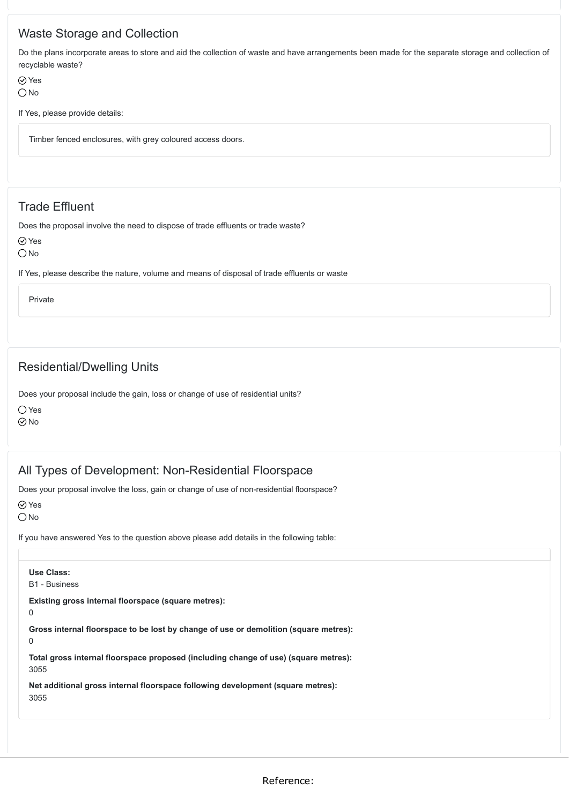### Waste Storage and Collection

Do the plans incorporate areas to store and aid the collection of waste and have arrangements been made for the separate storage and collection of recyclable waste?

Yes  $\bigcap$  No

If Yes, please provide details:

Timber fenced enclosures, with grey coloured access doors.

### Trade Effluent

Does the proposal involve the need to dispose of trade effluents or trade waste?

Yes

O<sub>No</sub>

If Yes, please describe the nature, volume and means of disposal of trade effluents or waste

Private

### Residential/Dwelling Units

Does your proposal include the gain, loss or change of use of residential units?

O Yes  $\odot$ No

### All Types of Development: Non-Residential Floorspace

Does your proposal involve the loss, gain or change of use of non-residential floorspace?

Yes

 $\bigcirc$  No

If you have answered Yes to the question above please add details in the following table:

**Use Class:** B1 - Business **Existing gross internal floorspace (square metres):** 0 **Gross internal floorspace to be lost by change of use or demolition (square metres):** 0 **Total gross internal floorspace proposed (including change of use) (square metres):** 3055

**Net additional gross internal floorspace following development (square metres):** 3055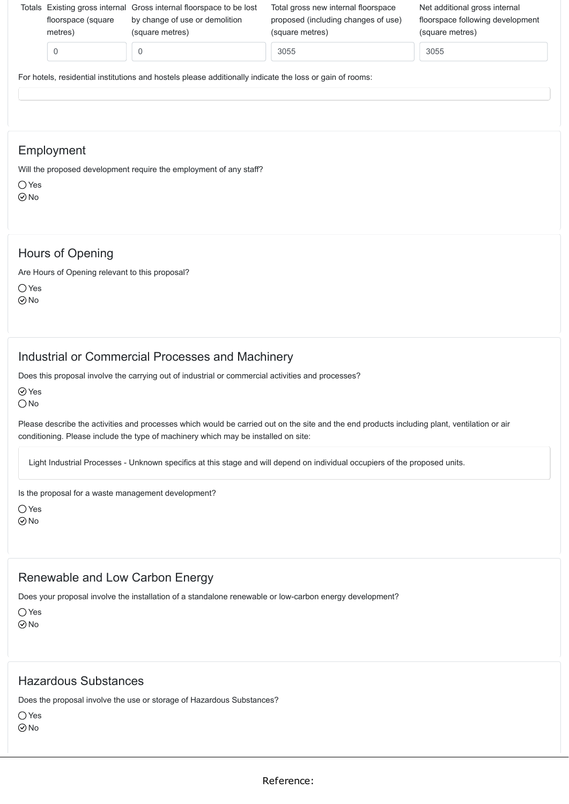| floorspace (square)<br>metres) | Totals Existing gross internal Gross internal floorspace to be lost<br>by change of use or demolition<br>(square metres) | Total gross new internal floorspace<br>proposed (including changes of use)<br>(square metres) | Net additional gross internal<br>floorspace following development<br>(square metres) |
|--------------------------------|--------------------------------------------------------------------------------------------------------------------------|-----------------------------------------------------------------------------------------------|--------------------------------------------------------------------------------------|
|                                | 0                                                                                                                        | 3055                                                                                          | 3055                                                                                 |
|                                | For hotels, residential institutions and hostels please additionally indicate the loss or gain of rooms:                 |                                                                                               |                                                                                      |

### Employment

Will the proposed development require the employment of any staff?

 $\bigcap$  Yes  $\odot$ No

### Hours of Opening

Are Hours of Opening relevant to this proposal?

Yes

 $\odot$ No

### Industrial or Commercial Processes and Machinery

Does this proposal involve the carrying out of industrial or commercial activities and processes?

⊘ Yes

 $\bigcirc$  No

Please describe the activities and processes which would be carried out on the site and the end products including plant, ventilation or air conditioning. Please include the type of machinery which may be installed on site:

Light Industrial Processes - Unknown specifics at this stage and will depend on individual occupiers of the proposed units.

Is the proposal for a waste management development?

○Yes  $\odot$ No

### Renewable and Low Carbon Energy

Does your proposal involve the installation of a standalone renewable or low-carbon energy development?

 $\bigcap$  Yes  $\odot$ No

### Hazardous Substances

Does the proposal involve the use or storage of Hazardous Substances?

Yes  $\odot$ No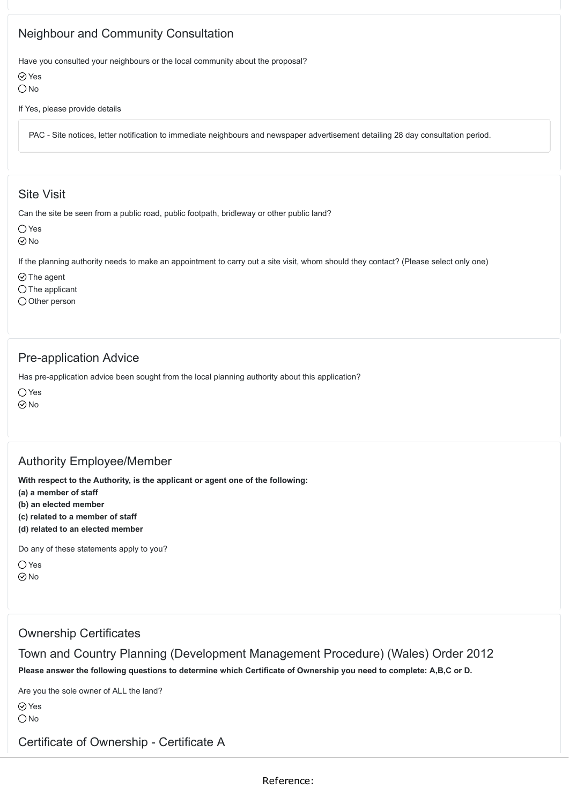### Neighbour and Community Consultation

Have you consulted your neighbours or the local community about the proposal?

⊙ Yes  $\bigcirc$  No

If Yes, please provide details

PAC - Site notices, letter notification to immediate neighbours and newspaper advertisement detailing 28 day consultation period.

### Site Visit

Can the site be seen from a public road, public footpath, bridleway or other public land?

 $\bigcap$  Yes

No

If the planning authority needs to make an appointment to carry out a site visit, whom should they contact? (Please select only one)

 $\odot$  The agent

 $\bigcap$  The applicant

 $\bigcirc$  Other person

### Pre-application Advice

Has pre-application advice been sought from the local planning authority about this application?

 $\bigcirc$  Yes

 $\odot$ No

### Authority Employee/Member

**With respect to the Authority, is the applicant or agent one of the following:**

**(a) a member of staff**

**(b) an elected member**

**(c) related to a member of staff**

**(d) related to an elected member**

Do any of these statements apply to you?

 $\bigcirc$  Yes  $\odot$ No

### Ownership Certificates

Town and Country Planning (Development Management Procedure) (Wales) Order 2012 **Please answer the following questions to determine which Certificate of Ownership you need to complete: A,B,C or D.**

Are you the sole owner of ALL the land?

Yes

 $\bigcap$ No

Certificate of Ownership - Certificate A